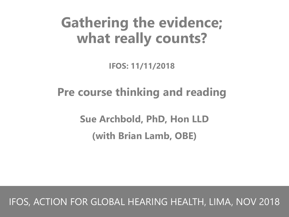# **Gathering the evidence; what really counts?**

**IFOS: 11/11/2018**

### **Pre course thinking and reading**

**Sue Archbold, PhD, Hon LLD (with Brian Lamb, OBE)**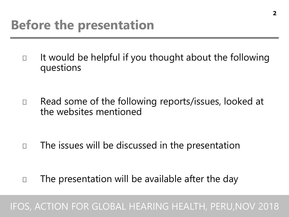It would be helpful if you thought about the following  $\Box$ questions

Read some of the following reports/issues, looked at  $\Box$ the websites mentioned

The issues will be discussed in the presentation П

The presentation will be available after the day  $\Box$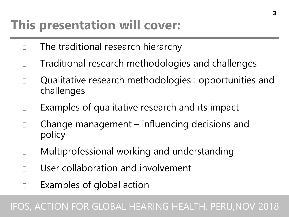## **This presentation will cover:**

- The traditional research hierarchy  $\Box$
- Traditional research methodologies and challenges  $\Box$
- Qualitative research methodologies : opportunities and  $\Box$ challenges
- Examples of qualitative research and its impact  $\Box$
- Change management influencing decisions and  $\Box$ policy
- Multiprofessional working and understanding П
- User collaboration and involvement П
- Examples of global action  $\Box$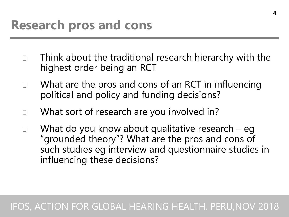- Think about the traditional research hierarchy with the  $\Box$ highest order being an RCT
- What are the pros and cons of an RCT in influencing  $\Box$ political and policy and funding decisions?
- What sort of research are you involved in?  $\Box$
- What do you know about qualitative research eg  $\Box$ "grounded theory"? What are the pros and cons of such studies eg interview and questionnaire studies in influencing these decisions?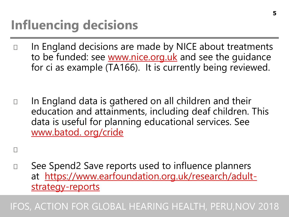# **Influencing decisions**

П

П

In England decisions are made by NICE about treatments  $\Box$ to be funded: see [www.nice.org.uk](http://www.nice.org.uk/) and see the guidance for ci as example (TA166). It is currently being reviewed.

In England data is gathered on all children and their  $\Box$ education and attainments, including deaf children. This data is useful for planning educational services. See [www.batod. org/cride](http://www.batod.cride/)

See Spend2 Save reports used to influence planners [at https://www.earfoundation.org.uk/research/adult](https://www.earfoundation.org.uk/research/adult-strategy-reports)strategy-reports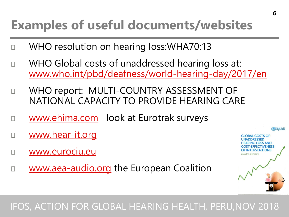## **Examples of useful documents/websites**

- WHO resolution on hearing loss:WHA70:13
- WHO Global costs of unaddressed hearing loss at: П [www.who.int/pbd/deafness/world-hearing-day/2017/en](http://www.who.int/pbd/deafness/world-hearing-day/2017/en)
- WHO report: MULTI-COUNTRY ASSESSMENT OF П NATIONAL CAPACITY TO PROVIDE HEARING CARE
- [www.ehima.com](http://www.ehima.com/) look at Eurotrak surveys
- [www.hear-it.org](http://www.hear-it.org/) П
- [www.eurociu.eu](http://www.eurociu.eu/) П
- [www.aea-audio.org](http://www.aea-audio.org/) the European Coalition П

#### IFOS, ACTION FOR GLOBAL HEARING HEALTH, PERU,NOV 2018

**GLOBAL COSTS OF JNADDRESSED** <del>I</del>EARING LOSS AND **T-EFFECTIVENESS FINTERVENTIONS**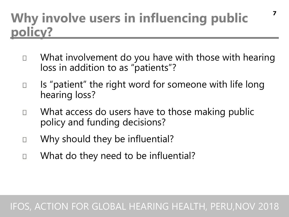### **Why involve users in influencing public policy?**

- What involvement do you have with those with hearing  $\Box$ loss in addition to as "patients"?
- Is "patient" the right word for someone with life long  $\Box$ hearing loss?
- What access do users have to those making public П policy and funding decisions?
- Why should they be influential?  $\Box$
- What do they need to be influential? П